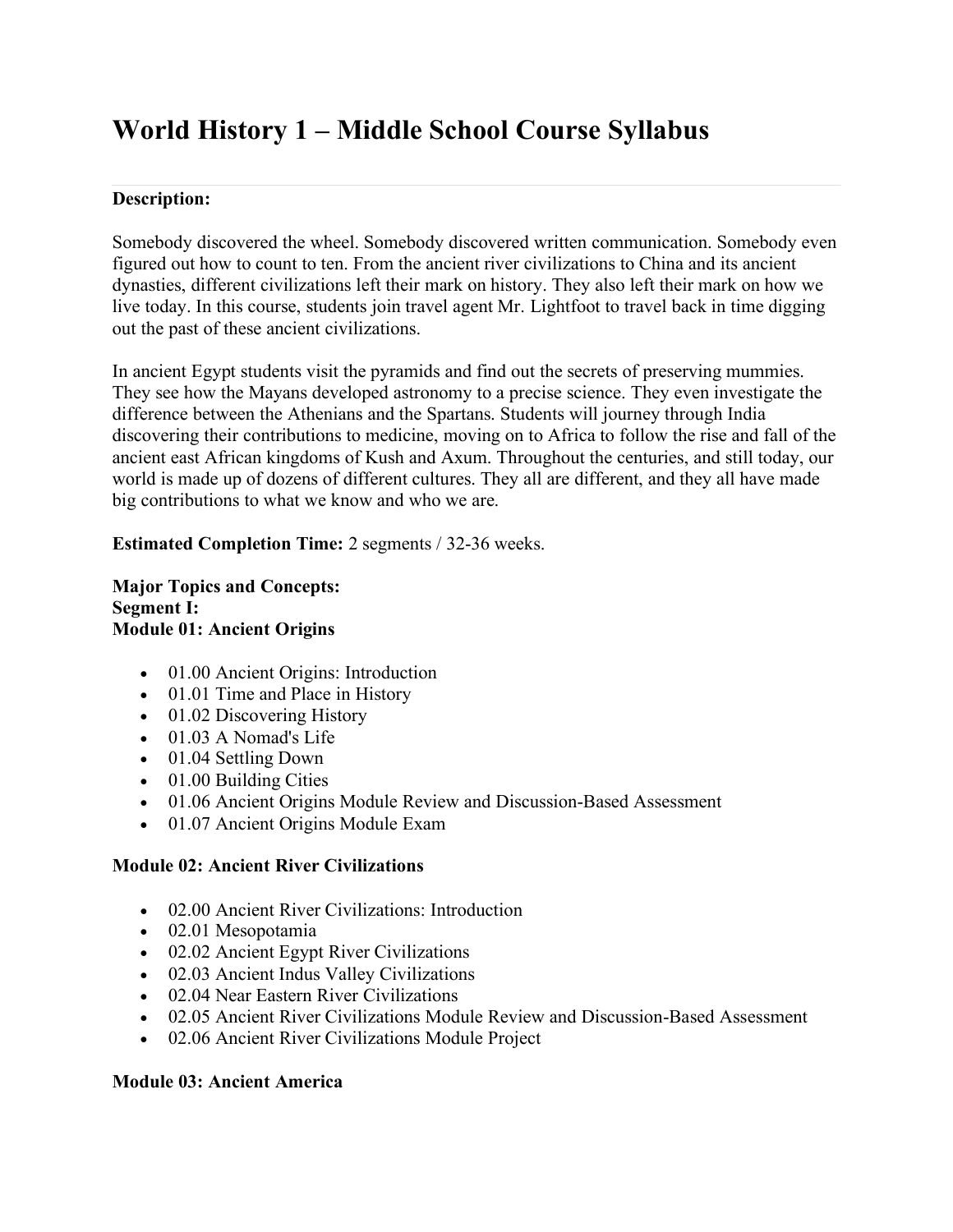# **World History 1 – Middle School Course Syllabus**

# **Description:**

Somebody discovered the wheel. Somebody discovered written communication. Somebody even figured out how to count to ten. From the ancient river civilizations to China and its ancient dynasties, different civilizations left their mark on history. They also left their mark on how we live today. In this course, students join travel agent Mr. Lightfoot to travel back in time digging out the past of these ancient civilizations.

In ancient Egypt students visit the pyramids and find out the secrets of preserving mummies. They see how the Mayans developed astronomy to a precise science. They even investigate the difference between the Athenians and the Spartans. Students will journey through India discovering their contributions to medicine, moving on to Africa to follow the rise and fall of the ancient east African kingdoms of Kush and Axum. Throughout the centuries, and still today, our world is made up of dozens of different cultures. They all are different, and they all have made big contributions to what we know and who we are.

**Estimated Completion Time:** 2 segments / 32-36 weeks.

**Major Topics and Concepts: Segment I: Module 01: Ancient Origins**

- 01.00 Ancient Origins: Introduction
- 01.01 Time and Place in History
- 01.02 Discovering History
- 01.03 A Nomad's Life
- 01.04 Settling Down
- 01.00 Building Cities
- 01.06 Ancient Origins Module Review and Discussion-Based Assessment
- 01.07 Ancient Origins Module Exam

# **Module 02: Ancient River Civilizations**

- 02.00 Ancient River Civilizations: Introduction
- 02.01 Mesopotamia
- 02.02 Ancient Egypt River Civilizations
- 02.03 Ancient Indus Valley Civilizations
- 02.04 Near Eastern River Civilizations
- 02.05 Ancient River Civilizations Module Review and Discussion-Based Assessment
- 02.06 Ancient River Civilizations Module Project

# **Module 03: Ancient America**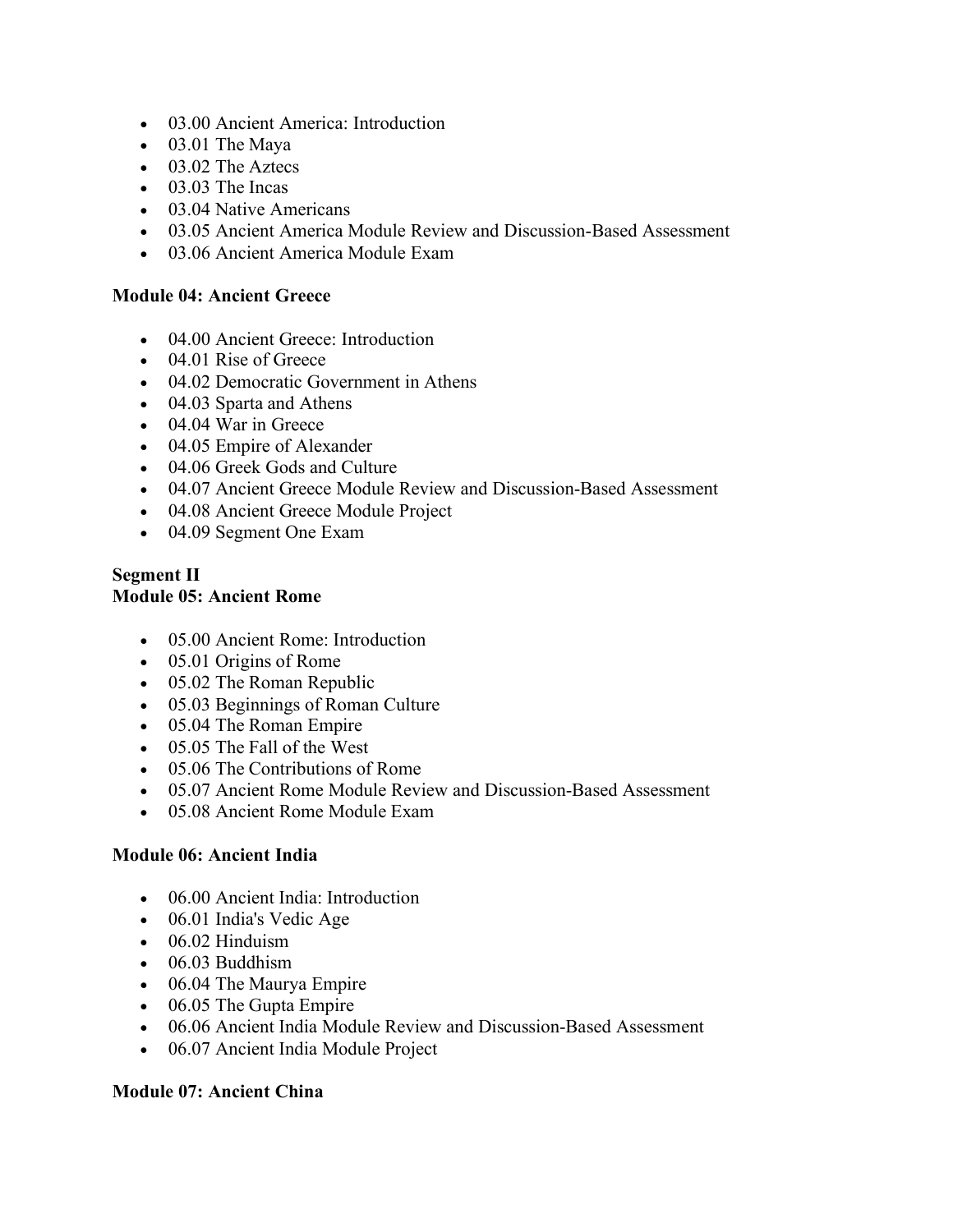- 03.00 Ancient America: Introduction
- 03.01 The Maya
- 03.02 The Aztecs
- 03.03 The Incas
- 03.04 Native Americans
- 03.05 Ancient America Module Review and Discussion-Based Assessment
- 03.06 Ancient America Module Exam

# **Module 04: Ancient Greece**

- 04.00 Ancient Greece: Introduction
- 04.01 Rise of Greece
- 04.02 Democratic Government in Athens
- 04.03 Sparta and Athens
- 04.04 War in Greece
- 04.05 Empire of Alexander
- 04.06 Greek Gods and Culture
- 04.07 Ancient Greece Module Review and Discussion-Based Assessment
- 04.08 Ancient Greece Module Project
- 04.09 Segment One Exam

#### **Segment II Module 05: Ancient Rome**

- 05.00 Ancient Rome: Introduction
- 05.01 Origins of Rome
- 05.02 The Roman Republic
- 05.03 Beginnings of Roman Culture
- 05.04 The Roman Empire
- 05.05 The Fall of the West
- 05.06 The Contributions of Rome
- 05.07 Ancient Rome Module Review and Discussion-Based Assessment
- 05.08 Ancient Rome Module Exam

## **Module 06: Ancient India**

- 06.00 Ancient India: Introduction
- 06.01 India's Vedic Age
- $\bullet$  06.02 Hinduism
- 06.03 Buddhism
- 06.04 The Maurya Empire
- 06.05 The Gupta Empire
- 06.06 Ancient India Module Review and Discussion-Based Assessment
- 06.07 Ancient India Module Project

# **Module 07: Ancient China**